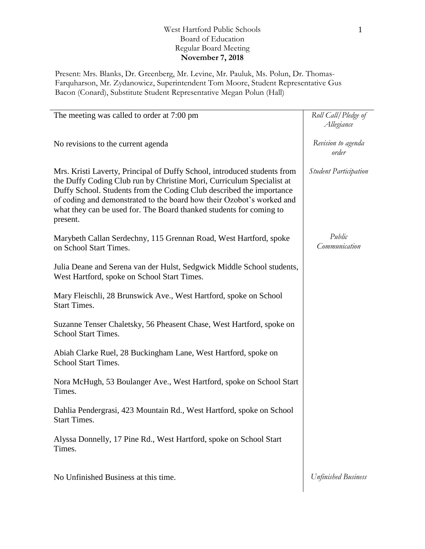Present: Mrs. Blanks, Dr. Greenberg, Mr. Levine, Mr. Pauluk, Ms. Polun, Dr. Thomas-Farquharson, Mr. Zydanowicz, Superintendent Tom Moore, Student Representative Gus Bacon (Conard), Substitute Student Representative Megan Polun (Hall)

| The meeting was called to order at 7:00 pm                                                                                                                                                                                                                                                                                                                                            | Roll Call/Pledge of<br>Allegiance |
|---------------------------------------------------------------------------------------------------------------------------------------------------------------------------------------------------------------------------------------------------------------------------------------------------------------------------------------------------------------------------------------|-----------------------------------|
| No revisions to the current agenda                                                                                                                                                                                                                                                                                                                                                    | Revision to agenda<br>order       |
| Mrs. Kristi Laverty, Principal of Duffy School, introduced students from<br>the Duffy Coding Club run by Christine Mori, Curriculum Specialist at<br>Duffy School. Students from the Coding Club described the importance<br>of coding and demonstrated to the board how their Ozobot's worked and<br>what they can be used for. The Board thanked students for coming to<br>present. | <b>Student Participation</b>      |
| Marybeth Callan Serdechny, 115 Grennan Road, West Hartford, spoke<br>on School Start Times.                                                                                                                                                                                                                                                                                           | Public<br>Communication           |
| Julia Deane and Serena van der Hulst, Sedgwick Middle School students,<br>West Hartford, spoke on School Start Times.                                                                                                                                                                                                                                                                 |                                   |
| Mary Fleischli, 28 Brunswick Ave., West Hartford, spoke on School<br><b>Start Times.</b>                                                                                                                                                                                                                                                                                              |                                   |
| Suzanne Tenser Chaletsky, 56 Pheasent Chase, West Hartford, spoke on<br><b>School Start Times.</b>                                                                                                                                                                                                                                                                                    |                                   |
| Abiah Clarke Ruel, 28 Buckingham Lane, West Hartford, spoke on<br><b>School Start Times.</b>                                                                                                                                                                                                                                                                                          |                                   |
| Nora McHugh, 53 Boulanger Ave., West Hartford, spoke on School Start<br>Times.                                                                                                                                                                                                                                                                                                        |                                   |
| Dahlia Pendergrasi, 423 Mountain Rd., West Hartford, spoke on School<br><b>Start Times.</b>                                                                                                                                                                                                                                                                                           |                                   |
| Alyssa Donnelly, 17 Pine Rd., West Hartford, spoke on School Start<br>Times.                                                                                                                                                                                                                                                                                                          |                                   |
| No Unfinished Business at this time.                                                                                                                                                                                                                                                                                                                                                  | <b>Unfinished Business</b>        |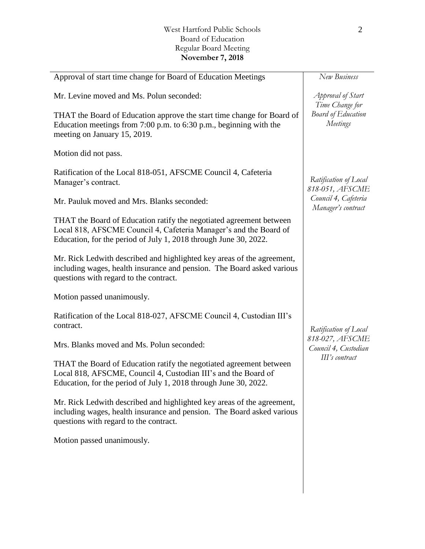| Approval of start time change for Board of Education Meetings                                                                                                                                                | New Business                               |
|--------------------------------------------------------------------------------------------------------------------------------------------------------------------------------------------------------------|--------------------------------------------|
| Mr. Levine moved and Ms. Polun seconded:                                                                                                                                                                     | Approval of Start<br>Time Change for       |
| THAT the Board of Education approve the start time change for Board of<br>Education meetings from 7:00 p.m. to 6:30 p.m., beginning with the<br>meeting on January 15, 2019.                                 | <b>Board of Education</b><br>Meetings      |
| Motion did not pass.                                                                                                                                                                                         |                                            |
| Ratification of the Local 818-051, AFSCME Council 4, Cafeteria<br>Manager's contract.                                                                                                                        | Ratification of Local<br>818-051, AFSCME   |
| Mr. Pauluk moved and Mrs. Blanks seconded:                                                                                                                                                                   | Council 4, Cafeteria<br>Manager's contract |
| THAT the Board of Education ratify the negotiated agreement between<br>Local 818, AFSCME Council 4, Cafeteria Manager's and the Board of<br>Education, for the period of July 1, 2018 through June 30, 2022. |                                            |
| Mr. Rick Ledwith described and highlighted key areas of the agreement,<br>including wages, health insurance and pension. The Board asked various<br>questions with regard to the contract.                   |                                            |
| Motion passed unanimously.                                                                                                                                                                                   |                                            |
| Ratification of the Local 818-027, AFSCME Council 4, Custodian III's<br>contract.                                                                                                                            | Ratification of Local                      |
| Mrs. Blanks moved and Ms. Polun seconded:                                                                                                                                                                    | 818-027, AFSCME<br>Council 4, Custodian    |
| THAT the Board of Education ratify the negotiated agreement between<br>Local 818, AFSCME, Council 4, Custodian III's and the Board of<br>Education, for the period of July 1, 2018 through June 30, 2022.    | III's contract                             |
| Mr. Rick Ledwith described and highlighted key areas of the agreement,<br>including wages, health insurance and pension. The Board asked various<br>questions with regard to the contract.                   |                                            |
| Motion passed unanimously.                                                                                                                                                                                   |                                            |
|                                                                                                                                                                                                              |                                            |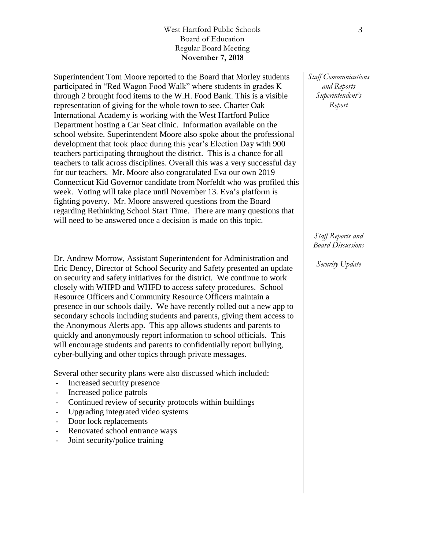Superintendent Tom Moore reported to the Board that Morley students participated in "Red Wagon Food Walk" where students in grades K through 2 brought food items to the W.H. Food Bank. This is a visible representation of giving for the whole town to see. Charter Oak International Academy is working with the West Hartford Police Department hosting a Car Seat clinic. Information available on the school website. Superintendent Moore also spoke about the professional development that took place during this year's Election Day with 900 teachers participating throughout the district. This is a chance for all teachers to talk across disciplines. Overall this was a very successful day for our teachers. Mr. Moore also congratulated Eva our own 2019 Connecticut Kid Governor candidate from Norfeldt who was profiled this week. Voting will take place until November 13. Eva's platform is fighting poverty. Mr. Moore answered questions from the Board regarding Rethinking School Start Time. There are many questions that will need to be answered once a decision is made on this topic.

Dr. Andrew Morrow, Assistant Superintendent for Administration and Eric Dency, Director of School Security and Safety presented an update on security and safety initiatives for the district. We continue to work closely with WHPD and WHFD to access safety procedures. School Resource Officers and Community Resource Officers maintain a presence in our schools daily. We have recently rolled out a new app to secondary schools including students and parents, giving them access to the Anonymous Alerts app. This app allows students and parents to quickly and anonymously report information to school officials. This will encourage students and parents to confidentially report bullying, cyber-bullying and other topics through private messages.

Several other security plans were also discussed which included:

- Increased security presence
- Increased police patrols
- Continued review of security protocols within buildings
- Upgrading integrated video systems
- Door lock replacements
- Renovated school entrance ways
- Joint security/police training

*Staff Communications and Reports Superintendent's Report*

*Staff Reports and Board Discussions*

*Security Update*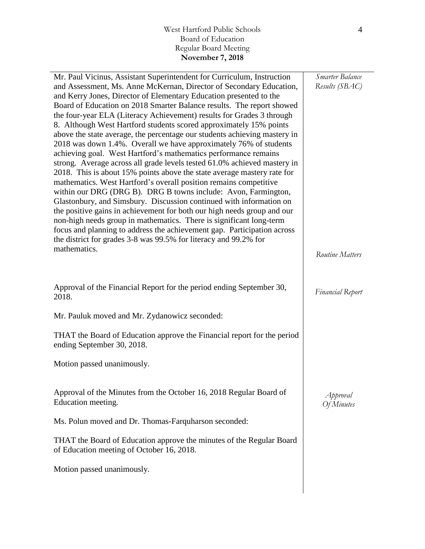| Mr. Paul Vicinus, Assistant Superintendent for Curriculum, Instruction    | Smarter Balance         |
|---------------------------------------------------------------------------|-------------------------|
| and Assessment, Ms. Anne McKernan, Director of Secondary Education,       | Results (SBAC)          |
| and Kerry Jones, Director of Elementary Education presented to the        |                         |
| Board of Education on 2018 Smarter Balance results. The report showed     |                         |
|                                                                           |                         |
| the four-year ELA (Literacy Achievement) results for Grades 3 through     |                         |
| 8. Although West Hartford students scored approximately 15% points        |                         |
| above the state average, the percentage our students achieving mastery in |                         |
| 2018 was down 1.4%. Overall we have approximately 76% of students         |                         |
| achieving goal. West Hartford's mathematics performance remains           |                         |
| strong. Average across all grade levels tested 61.0% achieved mastery in  |                         |
| 2018. This is about 15% points above the state average mastery rate for   |                         |
| mathematics. West Hartford's overall position remains competitive         |                         |
| within our DRG (DRG B). DRG B towns include: Avon, Farmington,            |                         |
| Glastonbury, and Simsbury. Discussion continued with information on       |                         |
|                                                                           |                         |
| the positive gains in achievement for both our high needs group and our   |                         |
| non-high needs group in mathematics. There is significant long-term       |                         |
| focus and planning to address the achievement gap. Participation across   |                         |
| the district for grades 3-8 was 99.5% for literacy and 99.2% for          |                         |
| mathematics.                                                              | Routine Matters         |
|                                                                           |                         |
|                                                                           |                         |
|                                                                           |                         |
| Approval of the Financial Report for the period ending September 30,      |                         |
| 2018.                                                                     | <b>Financial Report</b> |
|                                                                           |                         |
| Mr. Pauluk moved and Mr. Zydanowicz seconded:                             |                         |
|                                                                           |                         |
| THAT the Board of Education approve the Financial report for the period   |                         |
| ending September 30, 2018.                                                |                         |
|                                                                           |                         |
|                                                                           |                         |
| Motion passed unanimously.                                                |                         |
|                                                                           |                         |
|                                                                           |                         |
| Approval of the Minutes from the October 16, 2018 Regular Board of        | Approval                |
| Education meeting.                                                        | Of Minutes              |
|                                                                           |                         |
| Ms. Polun moved and Dr. Thomas-Farquharson seconded:                      |                         |
|                                                                           |                         |
| THAT the Board of Education approve the minutes of the Regular Board      |                         |
| of Education meeting of October 16, 2018.                                 |                         |
|                                                                           |                         |
| Motion passed unanimously.                                                |                         |
|                                                                           |                         |
|                                                                           |                         |
|                                                                           |                         |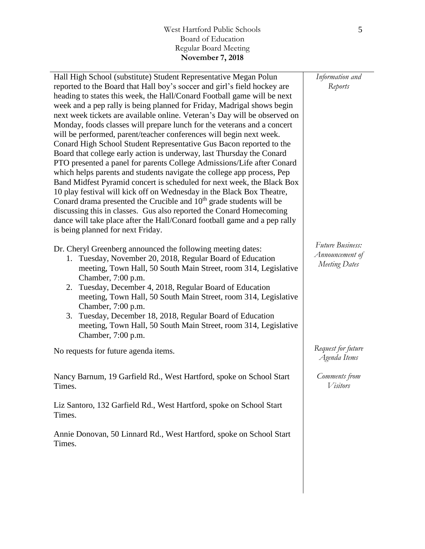Hall High School (substitute) Student Representative Megan Polun reported to the Board that Hall boy's soccer and girl's field hockey are heading to states this week, the Hall/Conard Football game will be next week and a pep rally is being planned for Friday, Madrigal shows begin next week tickets are available online. Veteran's Day will be observed on Monday, foods classes will prepare lunch for the veterans and a concert will be performed, parent/teacher conferences will begin next week. Conard High School Student Representative Gus Bacon reported to the Board that college early action is underway, last Thursday the Conard PTO presented a panel for parents College Admissions/Life after Conard which helps parents and students navigate the college app process, Pep Band Midfest Pyramid concert is scheduled for next week, the Black Box 10 play festival will kick off on Wednesday in the Black Box Theatre, Conard drama presented the Crucible and  $10<sup>th</sup>$  grade students will be discussing this in classes. Gus also reported the Conard Homecoming dance will take place after the Hall/Conard football game and a pep rally is being planned for next Friday.

Dr. Cheryl Greenberg announced the following meeting dates:

- 1. Tuesday, November 20, 2018, Regular Board of Education meeting, Town Hall, 50 South Main Street, room 314, Legislative Chamber, 7:00 p.m.
- 2. Tuesday, December 4, 2018, Regular Board of Education meeting, Town Hall, 50 South Main Street, room 314, Legislative Chamber, 7:00 p.m.
- 3. Tuesday, December 18, 2018, Regular Board of Education meeting, Town Hall, 50 South Main Street, room 314, Legislative Chamber, 7:00 p.m.

No requests for future agenda items.

Nancy Barnum, 19 Garfield Rd., West Hartford, spoke on School Start Times.

Liz Santoro, 132 Garfield Rd., West Hartford, spoke on School Start Times.

Annie Donovan, 50 Linnard Rd., West Hartford, spoke on School Start Times.

*Information and Reports*

*Future Business: Announcement of Meeting Dates*

*Request for future Agenda Items*

*Comments from Visitors*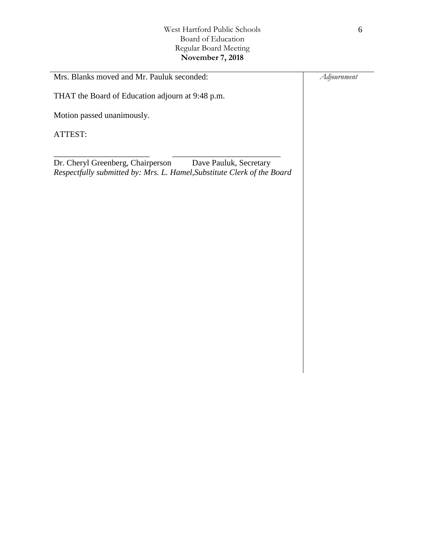Mrs. Blanks moved and Mr. Pauluk seconded: THAT the Board of Education adjourn at 9:48 p.m. Motion passed unanimously.

ATTEST:

Dr. Cheryl Greenberg, Chairperson Dave Pauluk, Secretary *Respectfully submitted by: Mrs. L. Hamel,Substitute Clerk of the Board*

\_\_\_\_\_\_\_\_\_\_\_\_\_\_\_\_\_\_\_\_\_\_\_ \_\_\_\_\_\_\_\_\_\_\_\_\_\_\_\_\_\_\_\_\_\_\_\_\_\_

*Adjournment*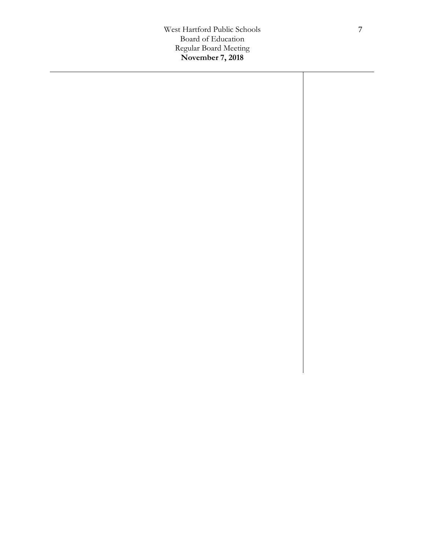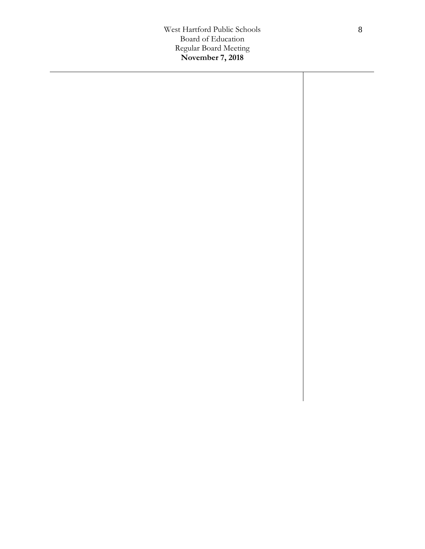